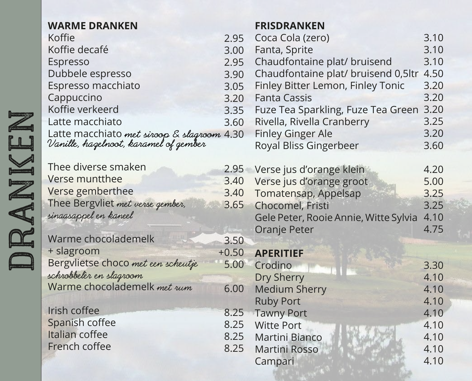|                                                                                                                                                                                                                                                                                                                                                                                                                           | <b>WARME DRANKEN</b>                       |         | <b>FRISDRANKEN</b>                       |      |
|---------------------------------------------------------------------------------------------------------------------------------------------------------------------------------------------------------------------------------------------------------------------------------------------------------------------------------------------------------------------------------------------------------------------------|--------------------------------------------|---------|------------------------------------------|------|
|                                                                                                                                                                                                                                                                                                                                                                                                                           | Koffie                                     | 2.95    | Coca Cola (zero)                         | 3.10 |
|                                                                                                                                                                                                                                                                                                                                                                                                                           | Koffie decafé                              | 3.00    | Fanta, Sprite                            | 3.10 |
|                                                                                                                                                                                                                                                                                                                                                                                                                           | Espresso                                   | 2.95    | Chaudfontaine plat/ bruisend             | 3.10 |
|                                                                                                                                                                                                                                                                                                                                                                                                                           | Dubbele espresso                           | 3.90    | Chaudfontaine plat/ bruisend 0,5ltr 4.50 |      |
|                                                                                                                                                                                                                                                                                                                                                                                                                           | Espresso macchiato                         | 3.05    | Finley Bitter Lemon, Finley Tonic        | 3.20 |
|                                                                                                                                                                                                                                                                                                                                                                                                                           | Cappuccino                                 | 3.20    | <b>Fanta Cassis</b>                      | 3.20 |
|                                                                                                                                                                                                                                                                                                                                                                                                                           | Koffie verkeerd                            | 3.35    | Fuze Tea Sparkling, Fuze Tea Green 3.20  |      |
| $\mathbb Z$                                                                                                                                                                                                                                                                                                                                                                                                               | Latte macchiato                            | 3.60    | Rivella, Rivella Cranberry               | 3.25 |
|                                                                                                                                                                                                                                                                                                                                                                                                                           | Latte macchiato met siroop & slagroom 4.30 |         | <b>Finley Ginger Ale</b>                 | 3.20 |
| $\Box$                                                                                                                                                                                                                                                                                                                                                                                                                    | Vanille, hazelnoot, karamel of gember      |         | Royal Bliss Gingerbeer                   | 3.60 |
|                                                                                                                                                                                                                                                                                                                                                                                                                           |                                            |         |                                          |      |
|                                                                                                                                                                                                                                                                                                                                                                                                                           | Thee diverse smaken                        | 2.95    | Verse jus d'orange klein                 | 4.20 |
|                                                                                                                                                                                                                                                                                                                                                                                                                           | Verse muntthee                             | 3.40    | Verse jus d'orange groot                 | 5.00 |
| $\sqrt{\frac{1}{1-\frac{1}{1-\frac{1}{1-\frac{1}{1-\frac{1}{1-\frac{1}{1-\frac{1}{1-\frac{1}{1-\frac{1}{1-\frac{1}{1-\frac{1}{1-\frac{1}{1-\frac{1}{1-\frac{1}{1-\frac{1}{1-\frac{1}{1-\frac{1}{1-\frac{1}{1-\frac{1}{1-\frac{1}{1-\frac{1}{1-\frac{1}{1-\frac{1}{1-\frac{1}{1-\frac{1}{1-\frac{1}{1-\frac{1}{1-\frac{1}{1-\frac{1}{1-\frac{1}{1-\frac{1}{1-\frac{1}{1-\frac{1}{1-\frac{1}{1-\frac{1}{1-\frac{1}{1-\frac$ | Verse gemberthee                           | 3.40    | Tomatensap, Appelsap                     | 3.25 |
|                                                                                                                                                                                                                                                                                                                                                                                                                           | Thee Bergvliet met verse gember,           | 3.65    | Chocomel, Fristi                         | 3.25 |
|                                                                                                                                                                                                                                                                                                                                                                                                                           | sinaasappel en kaneel                      |         | Gele Peter, Rooie Annie, Witte Sylvia    | 4.10 |
|                                                                                                                                                                                                                                                                                                                                                                                                                           |                                            |         | Oranje Peter                             | 4.75 |
| $\alpha$                                                                                                                                                                                                                                                                                                                                                                                                                  | Warme chocolademelk                        | 3.50    |                                          |      |
|                                                                                                                                                                                                                                                                                                                                                                                                                           | + slagroom                                 | $+0.50$ | <b>APERITIEF</b>                         |      |
|                                                                                                                                                                                                                                                                                                                                                                                                                           | Bergvlietse choco met een scheutje         | 5.00    | Crodino                                  | 3.30 |
|                                                                                                                                                                                                                                                                                                                                                                                                                           | schrobbeler en slagroom                    |         | Dry Sherry                               | 4.10 |
|                                                                                                                                                                                                                                                                                                                                                                                                                           | Warme chocolademelk met rum                | 6.00    | <b>Medium Sherry</b>                     | 4.10 |
|                                                                                                                                                                                                                                                                                                                                                                                                                           |                                            |         | <b>Ruby Port</b>                         | 4.10 |
|                                                                                                                                                                                                                                                                                                                                                                                                                           | Irish coffee                               |         | 8.25 Tawny Port                          | 4.10 |
|                                                                                                                                                                                                                                                                                                                                                                                                                           | Spanish coffee                             | 8.25    | <b>Witte Port</b>                        | 4.10 |
|                                                                                                                                                                                                                                                                                                                                                                                                                           | Italian coffee                             | 8.25    | Martini Bianco                           | 4.10 |
|                                                                                                                                                                                                                                                                                                                                                                                                                           | French coffee                              | 8.25    | Martini Rosso                            | 4.10 |
|                                                                                                                                                                                                                                                                                                                                                                                                                           |                                            |         | Campari                                  | 4.10 |
|                                                                                                                                                                                                                                                                                                                                                                                                                           |                                            |         |                                          |      |